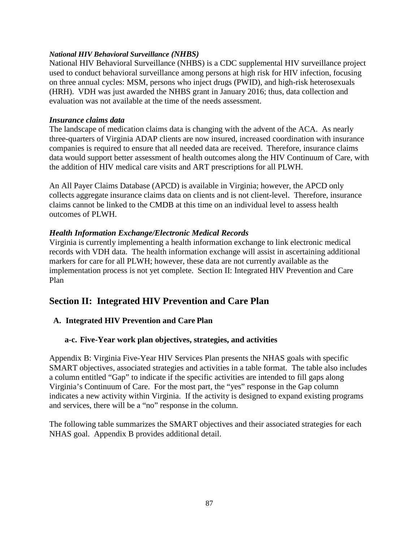### *National HIV Behavioral Surveillance (NHBS)*

National HIV Behavioral Surveillance (NHBS) is a CDC supplemental HIV surveillance project used to conduct behavioral surveillance among persons at high risk for HIV infection, focusing on three annual cycles: MSM, persons who inject drugs (PWID), and high-risk heterosexuals (HRH). VDH was just awarded the NHBS grant in January 2016; thus, data collection and evaluation was not available at the time of the needs assessment.

## *Insurance claims data*

The landscape of medication claims data is changing with the advent of the ACA. As nearly three-quarters of Virginia ADAP clients are now insured, increased coordination with insurance companies is required to ensure that all needed data are received. Therefore, insurance claims data would support better assessment of health outcomes along the HIV Continuum of Care, with the addition of HIV medical care visits and ART prescriptions for all PLWH.

An All Payer Claims Database (APCD) is available in Virginia; however, the APCD only collects aggregate insurance claims data on clients and is not client-level. Therefore, insurance claims cannot be linked to the CMDB at this time on an individual level to assess health outcomes of PLWH.

# *Health Information Exchange/Electronic Medical Records*

Virginia is currently implementing a health information exchange to link electronic medical records with VDH data. The health information exchange will assist in ascertaining additional markers for care for all PLWH; however, these data are not currently available as the implementation process is not yet complete. Section II: Integrated HIV Prevention and Care Plan

# **Section II: Integrated HIV Prevention and Care Plan**

# **A. Integrated HIV Prevention and Care Plan**

# **a-c. Five-Year work plan objectives, strategies, and activities**

Appendix B: Virginia Five-Year HIV Services Plan presents the NHAS goals with specific SMART objectives, associated strategies and activities in a table format. The table also includes a column entitled "Gap" to indicate if the specific activities are intended to fill gaps along Virginia's Continuum of Care. For the most part, the "yes" response in the Gap column indicates a new activity within Virginia. If the activity is designed to expand existing programs and services, there will be a "no" response in the column.

The following table summarizes the SMART objectives and their associated strategies for each NHAS goal. Appendix B provides additional detail.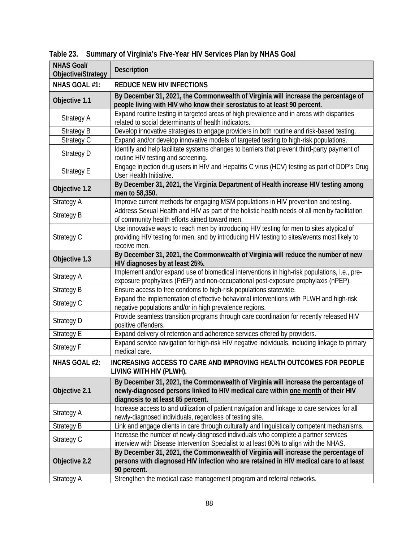| <b>NHAS Goal/</b><br>Objective/Strategy | <b>Description</b>                                                                                                                                                                                          |  |  |  |  |
|-----------------------------------------|-------------------------------------------------------------------------------------------------------------------------------------------------------------------------------------------------------------|--|--|--|--|
| NHAS GOAL #1:                           | <b>REDUCE NEW HIV INFECTIONS</b>                                                                                                                                                                            |  |  |  |  |
| Objective 1.1                           | By December 31, 2021, the Commonwealth of Virginia will increase the percentage of<br>people living with HIV who know their serostatus to at least 90 percent.                                              |  |  |  |  |
| Strategy A                              | Expand routine testing in targeted areas of high prevalence and in areas with disparities<br>related to social determinants of health indicators.                                                           |  |  |  |  |
| <b>Strategy B</b>                       | Develop innovative strategies to engage providers in both routine and risk-based testing.                                                                                                                   |  |  |  |  |
| Strategy C                              | Expand and/or develop innovative models of targeted testing to high-risk populations.                                                                                                                       |  |  |  |  |
| Strategy D                              | Identify and help facilitate systems changes to barriers that prevent third-party payment of<br>routine HIV testing and screening.                                                                          |  |  |  |  |
| Strategy E                              | Engage injection drug users in HIV and Hepatitis C virus (HCV) testing as part of DDP's Drug<br>User Health Initiative.                                                                                     |  |  |  |  |
| Objective 1.2                           | By December 31, 2021, the Virginia Department of Health increase HIV testing among<br>men to 58,350.                                                                                                        |  |  |  |  |
| Strategy A                              | Improve current methods for engaging MSM populations in HIV prevention and testing.                                                                                                                         |  |  |  |  |
| <b>Strategy B</b>                       | Address Sexual Health and HIV as part of the holistic health needs of all men by facilitation<br>of community health efforts aimed toward men.                                                              |  |  |  |  |
| Strategy C                              | Use innovative ways to reach men by introducing HIV testing for men to sites atypical of<br>providing HIV testing for men, and by introducing HIV testing to sites/events most likely to<br>receive men.    |  |  |  |  |
| Objective 1.3                           | By December 31, 2021, the Commonwealth of Virginia will reduce the number of new<br>HIV diagnoses by at least 25%.                                                                                          |  |  |  |  |
| <b>Strategy A</b>                       | Implement and/or expand use of biomedical interventions in high-risk populations, i.e., pre-<br>exposure prophylaxis (PrEP) and non-occupational post-exposure prophylaxis (nPEP).                          |  |  |  |  |
| Strategy B                              | Ensure access to free condoms to high-risk populations statewide.                                                                                                                                           |  |  |  |  |
| Strategy C                              | Expand the implementation of effective behavioral interventions with PLWH and high-risk<br>negative populations and/or in high prevalence regions.                                                          |  |  |  |  |
| <b>Strategy D</b>                       | Provide seamless transition programs through care coordination for recently released HIV<br>positive offenders.                                                                                             |  |  |  |  |
| <b>Strategy E</b>                       | Expand delivery of retention and adherence services offered by providers.                                                                                                                                   |  |  |  |  |
| Strategy F                              | Expand service navigation for high-risk HIV negative individuals, including linkage to primary<br>medical care.                                                                                             |  |  |  |  |
| NHAS GOAL #2:                           | <b>INCREASING ACCESS TO CARE AND IMPROVING HEALTH OUTCOMES FOR PEOPLE</b><br>LIVING WITH HIV (PLWH).                                                                                                        |  |  |  |  |
| Objective 2.1                           | By December 31, 2021, the Commonwealth of Virginia will increase the percentage of<br>newly-diagnosed persons linked to HIV medical care within one month of their HIV<br>diagnosis to at least 85 percent. |  |  |  |  |
| Strategy A                              | Increase access to and utilization of patient navigation and linkage to care services for all<br>newly-diagnosed individuals, regardless of testing site.                                                   |  |  |  |  |
| Strategy B                              | Link and engage clients in care through culturally and linguistically competent mechanisms.                                                                                                                 |  |  |  |  |
| Strategy C                              | Increase the number of newly-diagnosed individuals who complete a partner services<br>interview with Disease Intervention Specialist to at least 80% to align with the NHAS.                                |  |  |  |  |
| Objective 2.2                           | By December 31, 2021, the Commonwealth of Virginia will increase the percentage of<br>persons with diagnosed HIV infection who are retained in HIV medical care to at least<br>90 percent.                  |  |  |  |  |
| Strategy A                              | Strengthen the medical case management program and referral networks.                                                                                                                                       |  |  |  |  |

**Table 23. Summary of Virginia's Five-Year HIV Services Plan by NHAS Goal**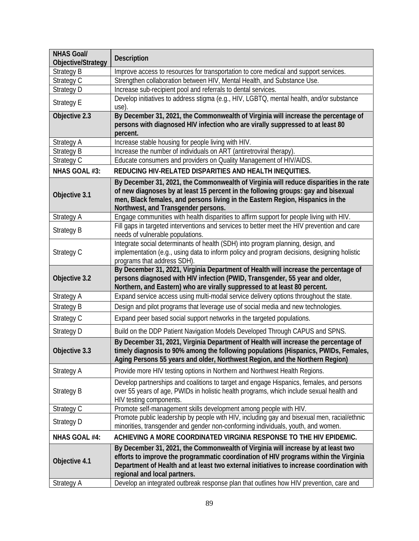| <b>NHAS Goal/</b><br>Objective/Strategy | <b>Description</b>                                                                                                                                                                                                                                                                                   |  |  |  |  |
|-----------------------------------------|------------------------------------------------------------------------------------------------------------------------------------------------------------------------------------------------------------------------------------------------------------------------------------------------------|--|--|--|--|
| Strategy B                              | Improve access to resources for transportation to core medical and support services.                                                                                                                                                                                                                 |  |  |  |  |
| Strategy C                              | Strengthen collaboration between HIV, Mental Health, and Substance Use.                                                                                                                                                                                                                              |  |  |  |  |
| Strategy D                              | Increase sub-recipient pool and referrals to dental services.                                                                                                                                                                                                                                        |  |  |  |  |
| <b>Strategy E</b>                       | Develop initiatives to address stigma (e.g., HIV, LGBTQ, mental health, and/or substance<br>use).                                                                                                                                                                                                    |  |  |  |  |
| Objective 2.3                           | By December 31, 2021, the Commonwealth of Virginia will increase the percentage of<br>persons with diagnosed HIV infection who are virally suppressed to at least 80<br>percent.                                                                                                                     |  |  |  |  |
| <b>Strategy A</b>                       | Increase stable housing for people living with HIV.                                                                                                                                                                                                                                                  |  |  |  |  |
| <b>Strategy B</b>                       | Increase the number of individuals on ART (antiretroviral therapy).                                                                                                                                                                                                                                  |  |  |  |  |
| Strategy C                              | Educate consumers and providers on Quality Management of HIV/AIDS.                                                                                                                                                                                                                                   |  |  |  |  |
| NHAS GOAL #3:                           | REDUCING HIV-RELATED DISPARITIES AND HEALTH INEQUITIES.                                                                                                                                                                                                                                              |  |  |  |  |
| Objective 3.1                           | By December 31, 2021, the Commonwealth of Virginia will reduce disparities in the rate<br>of new diagnoses by at least 15 percent in the following groups: gay and bisexual<br>men, Black females, and persons living in the Eastern Region, Hispanics in the<br>Northwest, and Transgender persons. |  |  |  |  |
| Strategy A                              | Engage communities with health disparities to affirm support for people living with HIV.                                                                                                                                                                                                             |  |  |  |  |
| <b>Strategy B</b>                       | Fill gaps in targeted interventions and services to better meet the HIV prevention and care<br>needs of vulnerable populations.                                                                                                                                                                      |  |  |  |  |
| Strategy C                              | Integrate social determinants of health (SDH) into program planning, design, and<br>implementation (e.g., using data to inform policy and program decisions, designing holistic<br>programs that address SDH).                                                                                       |  |  |  |  |
| Objective 3.2                           | By December 31, 2021, Virginia Department of Health will increase the percentage of<br>persons diagnosed with HIV infection (PWID, Transgender, 55 year and older,<br>Northern, and Eastern) who are virally suppressed to at least 80 percent.                                                      |  |  |  |  |
| <b>Strategy A</b>                       | Expand service access using multi-modal service delivery options throughout the state.                                                                                                                                                                                                               |  |  |  |  |
| <b>Strategy B</b>                       | Design and pilot programs that leverage use of social media and new technologies.                                                                                                                                                                                                                    |  |  |  |  |
| Strategy C                              | Expand peer based social support networks in the targeted populations.                                                                                                                                                                                                                               |  |  |  |  |
| Strategy D                              | Build on the DDP Patient Navigation Models Developed Through CAPUS and SPNS.                                                                                                                                                                                                                         |  |  |  |  |
| Objective 3.3                           | By December 31, 2021, Virginia Department of Health will increase the percentage of<br>timely diagnosis to 90% among the following populations (Hispanics, PWIDs, Females,<br>Aging Persons 55 years and older, Northwest Region, and the Northern Region)                                           |  |  |  |  |
| <b>Strategy A</b>                       | Provide more HIV testing options in Northern and Northwest Health Regions.                                                                                                                                                                                                                           |  |  |  |  |
| <b>Strategy B</b>                       | Develop partnerships and coalitions to target and engage Hispanics, females, and persons<br>over 55 years of age, PWIDs in holistic health programs, which include sexual health and<br>HIV testing components.                                                                                      |  |  |  |  |
| Strategy C                              | Promote self-management skills development among people with HIV.                                                                                                                                                                                                                                    |  |  |  |  |
| Strategy D                              | Promote public leadership by people with HIV, including gay and bisexual men, racial/ethnic<br>minorities, transgender and gender non-conforming individuals, youth, and women.                                                                                                                      |  |  |  |  |
| <b>NHAS GOAL #4:</b>                    | ACHIEVING A MORE COORDINATED VIRGINIA RESPONSE TO THE HIV EPIDEMIC.                                                                                                                                                                                                                                  |  |  |  |  |
| Objective 4.1                           | By December 31, 2021, the Commonwealth of Virginia will increase by at least two<br>efforts to improve the programmatic coordination of HIV programs within the Virginia<br>Department of Health and at least two external initiatives to increase coordination with<br>regional and local partners. |  |  |  |  |
| Strategy A                              | Develop an integrated outbreak response plan that outlines how HIV prevention, care and                                                                                                                                                                                                              |  |  |  |  |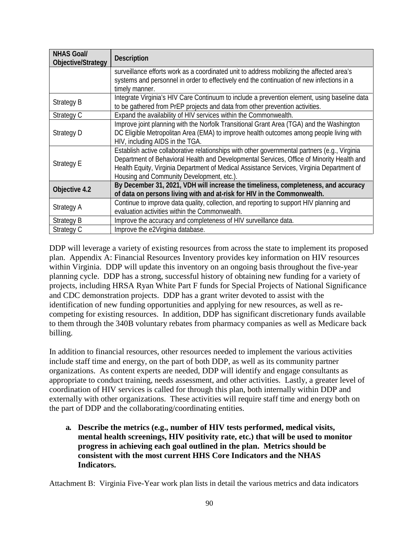| <b>NHAS Goal/</b><br>Objective/Strategy | <b>Description</b>                                                                            |
|-----------------------------------------|-----------------------------------------------------------------------------------------------|
|                                         | surveillance efforts work as a coordinated unit to address mobilizing the affected area's     |
|                                         | systems and personnel in order to effectively end the continuation of new infections in a     |
|                                         | timely manner.                                                                                |
| <b>Strategy B</b>                       | Integrate Virginia's HIV Care Continuum to include a prevention element, using baseline data  |
|                                         | to be gathered from PrEP projects and data from other prevention activities.                  |
| Strategy C                              | Expand the availability of HIV services within the Commonwealth.                              |
| Strategy D                              | Improve joint planning with the Norfolk Transitional Grant Area (TGA) and the Washington      |
|                                         | DC Eligible Metropolitan Area (EMA) to improve health outcomes among people living with       |
|                                         | HIV, including AIDS in the TGA.                                                               |
| <b>Strategy E</b>                       | Establish active collaborative relationships with other governmental partners (e.g., Virginia |
|                                         | Department of Behavioral Health and Developmental Services, Office of Minority Health and     |
|                                         | Health Equity, Virginia Department of Medical Assistance Services, Virginia Department of     |
|                                         | Housing and Community Development, etc.).                                                     |
| Objective 4.2                           | By December 31, 2021, VDH will increase the timeliness, completeness, and accuracy            |
|                                         | of data on persons living with and at-risk for HIV in the Commonwealth.                       |
| Strategy A                              | Continue to improve data quality, collection, and reporting to support HIV planning and       |
|                                         | evaluation activities within the Commonwealth.                                                |
| <b>Strategy B</b>                       | Improve the accuracy and completeness of HIV surveillance data.                               |
| Strategy C                              | Improve the e2Virginia database.                                                              |

DDP will leverage a variety of existing resources from across the state to implement its proposed plan. Appendix A: Financial Resources Inventory provides key information on HIV resources within Virginia. DDP will update this inventory on an ongoing basis throughout the five-year planning cycle. DDP has a strong, successful history of obtaining new funding for a variety of projects, including HRSA Ryan White Part F funds for Special Projects of National Significance and CDC demonstration projects. DDP has a grant writer devoted to assist with the identification of new funding opportunities and applying for new resources, as well as recompeting for existing resources. In addition, DDP has significant discretionary funds available to them through the 340B voluntary rebates from pharmacy companies as well as Medicare back billing.

In addition to financial resources, other resources needed to implement the various activities include staff time and energy, on the part of both DDP, as well as its community partner organizations. As content experts are needed, DDP will identify and engage consultants as appropriate to conduct training, needs assessment, and other activities. Lastly, a greater level of coordination of HIV services is called for through this plan, both internally within DDP and externally with other organizations. These activities will require staff time and energy both on the part of DDP and the collaborating/coordinating entities.

**a. Describe the metrics (e.g., number of HIV tests performed, medical visits, mental health screenings, HIV positivity rate, etc.) that will be used to monitor progress in achieving each goal outlined in the plan. Metrics should be consistent with the most current HHS Core Indicators and the NHAS Indicators.** 

Attachment B: Virginia Five-Year work plan lists in detail the various metrics and data indicators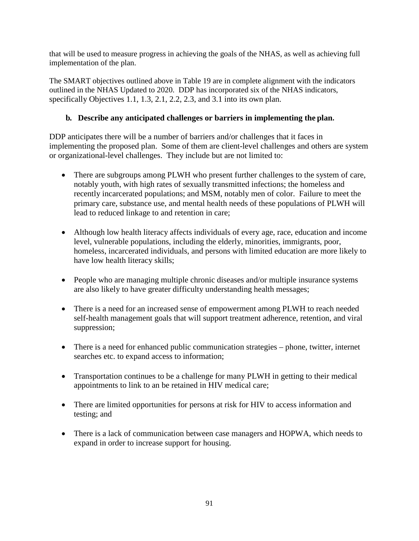that will be used to measure progress in achieving the goals of the NHAS, as well as achieving full implementation of the plan.

The SMART objectives outlined above in Table 19 are in complete alignment with the indicators outlined in the NHAS Updated to 2020. DDP has incorporated six of the NHAS indicators, specifically Objectives 1.1, 1.3, 2.1, 2.2, 2.3, and 3.1 into its own plan.

# **b. Describe any anticipated challenges or barriers in implementing the plan.**

DDP anticipates there will be a number of barriers and/or challenges that it faces in implementing the proposed plan. Some of them are client-level challenges and others are system or organizational-level challenges. They include but are not limited to:

- There are subgroups among PLWH who present further challenges to the system of care, notably youth, with high rates of sexually transmitted infections; the homeless and recently incarcerated populations; and MSM, notably men of color. Failure to meet the primary care, substance use, and mental health needs of these populations of PLWH will lead to reduced linkage to and retention in care;
- Although low health literacy affects individuals of every age, race, education and income level, vulnerable populations, including the elderly, minorities, immigrants, poor, homeless, incarcerated individuals, and persons with limited education are more likely to have low health literacy skills;
- People who are managing multiple chronic diseases and/or multiple insurance systems are also likely to have greater difficulty understanding health messages;
- There is a need for an increased sense of empowerment among PLWH to reach needed self-health management goals that will support treatment adherence, retention, and viral suppression;
- There is a need for enhanced public communication strategies phone, twitter, internet searches etc. to expand access to information;
- Transportation continues to be a challenge for many PLWH in getting to their medical appointments to link to an be retained in HIV medical care;
- There are limited opportunities for persons at risk for HIV to access information and testing; and
- There is a lack of communication between case managers and HOPWA, which needs to expand in order to increase support for housing.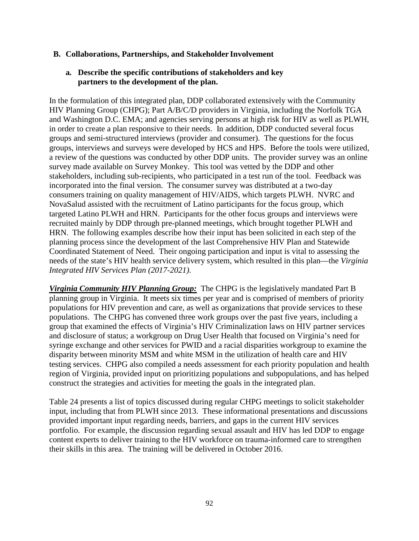### **B. Collaborations, Partnerships, and Stakeholder Involvement**

## **a. Describe the specific contributions of stakeholders and key partners to the development of the plan.**

In the formulation of this integrated plan, DDP collaborated extensively with the Community HIV Planning Group (CHPG); Part A/B/C/D providers in Virginia, including the Norfolk TGA and Washington D.C. EMA; and agencies serving persons at high risk for HIV as well as PLWH, in order to create a plan responsive to their needs. In addition, DDP conducted several focus groups and semi-structured interviews (provider and consumer). The questions for the focus groups, interviews and surveys were developed by HCS and HPS. Before the tools were utilized, a review of the questions was conducted by other DDP units. The provider survey was an online survey made available on Survey Monkey. This tool was vetted by the DDP and other stakeholders, including sub-recipients, who participated in a test run of the tool. Feedback was incorporated into the final version. The consumer survey was distributed at a two-day consumers training on quality management of HIV/AIDS, which targets PLWH. NVRC and NovaSalud assisted with the recruitment of Latino participants for the focus group, which targeted Latino PLWH and HRN. Participants for the other focus groups and interviews were recruited mainly by DDP through pre-planned meetings, which brought together PLWH and HRN. The following examples describe how their input has been solicited in each step of the planning process since the development of the last Comprehensive HIV Plan and Statewide Coordinated Statement of Need. Their ongoing participation and input is vital to assessing the needs of the state's HIV health service delivery system, which resulted in this plan—the *Virginia Integrated HIV Services Plan (2017-2021)*.

*Virginia Community HIV Planning Group:* The CHPG is the legislatively mandated Part B planning group in Virginia. It meets six times per year and is comprised of members of priority populations for HIV prevention and care, as well as organizations that provide services to these populations. The CHPG has convened three work groups over the past five years, including a group that examined the effects of Virginia's HIV Criminalization laws on HIV partner services and disclosure of status; a workgroup on Drug User Health that focused on Virginia's need for syringe exchange and other services for PWID and a racial disparities workgroup to examine the disparity between minority MSM and white MSM in the utilization of health care and HIV testing services. CHPG also compiled a needs assessment for each priority population and health region of Virginia, provided input on prioritizing populations and subpopulations, and has helped construct the strategies and activities for meeting the goals in the integrated plan.

Table 24 presents a list of topics discussed during regular CHPG meetings to solicit stakeholder input, including that from PLWH since 2013. These informational presentations and discussions provided important input regarding needs, barriers, and gaps in the current HIV services portfolio. For example, the discussion regarding sexual assault and HIV has led DDP to engage content experts to deliver training to the HIV workforce on trauma-informed care to strengthen their skills in this area. The training will be delivered in October 2016.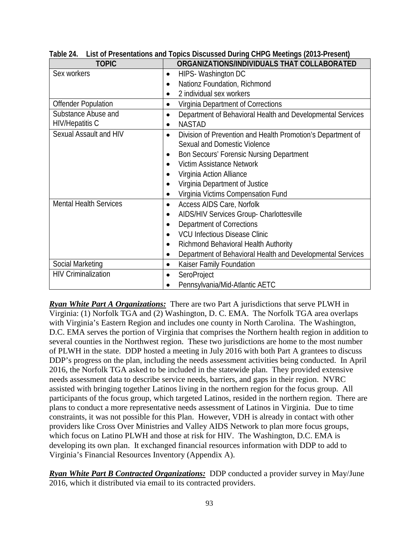| <b>TOPIC</b>                  | ORGANIZATIONS/INDIVIDUALS THAT COLLABORATED                              |  |  |  |
|-------------------------------|--------------------------------------------------------------------------|--|--|--|
| Sex workers                   | HIPS- Washington DC<br>٠                                                 |  |  |  |
|                               | Nationz Foundation, Richmond<br>$\bullet$                                |  |  |  |
|                               | 2 individual sex workers<br>$\bullet$                                    |  |  |  |
| <b>Offender Population</b>    | Virginia Department of Corrections                                       |  |  |  |
| Substance Abuse and           | Department of Behavioral Health and Developmental Services<br>$\bullet$  |  |  |  |
| <b>HIV/Hepatitis C</b>        | <b>NASTAD</b><br>$\bullet$                                               |  |  |  |
| Sexual Assault and HIV        | Division of Prevention and Health Promotion's Department of<br>$\bullet$ |  |  |  |
|                               | Sexual and Domestic Violence                                             |  |  |  |
|                               | Bon Secours' Forensic Nursing Department<br>$\bullet$                    |  |  |  |
|                               | Victim Assistance Network<br>$\bullet$                                   |  |  |  |
|                               | Virginia Action Alliance<br>$\bullet$                                    |  |  |  |
|                               | Virginia Department of Justice                                           |  |  |  |
|                               | Virginia Victims Compensation Fund<br>$\bullet$                          |  |  |  |
| <b>Mental Health Services</b> | Access AIDS Care, Norfolk<br>٠                                           |  |  |  |
|                               | AIDS/HIV Services Group- Charlottesville<br>$\bullet$                    |  |  |  |
|                               | <b>Department of Corrections</b><br>٠                                    |  |  |  |
|                               | <b>VCU Infectious Disease Clinic</b><br>$\bullet$                        |  |  |  |
|                               | Richmond Behavioral Health Authority<br>٠                                |  |  |  |
|                               | Department of Behavioral Health and Developmental Services<br>$\bullet$  |  |  |  |
| Social Marketing              | Kaiser Family Foundation                                                 |  |  |  |
| <b>HIV Criminalization</b>    | SeroProject<br>٠                                                         |  |  |  |
|                               | Pennsylvania/Mid-Atlantic AETC                                           |  |  |  |

**Table 24. List of Presentations and Topics Discussed During CHPG Meetings (2013-Present)**

*Ryan White Part A Organizations:* There are two Part A jurisdictions that serve PLWH in Virginia: (1) Norfolk TGA and (2) Washington, D. C. EMA. The Norfolk TGA area overlaps with Virginia's Eastern Region and includes one county in North Carolina. The Washington, D.C. EMA serves the portion of Virginia that comprises the Northern health region in addition to several counties in the Northwest region. These two jurisdictions are home to the most number of PLWH in the state. DDP hosted a meeting in July 2016 with both Part A grantees to discuss DDP's progress on the plan, including the needs assessment activities being conducted. In April 2016, the Norfolk TGA asked to be included in the statewide plan. They provided extensive needs assessment data to describe service needs, barriers, and gaps in their region. NVRC assisted with bringing together Latinos living in the northern region for the focus group. All participants of the focus group, which targeted Latinos, resided in the northern region. There are plans to conduct a more representative needs assessment of Latinos in Virginia. Due to time constraints, it was not possible for this Plan. However, VDH is already in contact with other providers like Cross Over Ministries and Valley AIDS Network to plan more focus groups, which focus on Latino PLWH and those at risk for HIV. The Washington, D.C. EMA is developing its own plan. It exchanged financial resources information with DDP to add to Virginia's Financial Resources Inventory (Appendix A).

*Ryan White Part B Contracted Organizations:* DDP conducted a provider survey in May/June 2016, which it distributed via email to its contracted providers.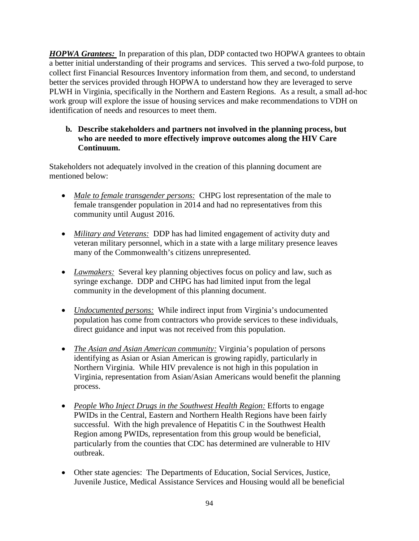*HOPWA Grantees:* In preparation of this plan, DDP contacted two HOPWA grantees to obtain a better initial understanding of their programs and services. This served a two-fold purpose, to collect first Financial Resources Inventory information from them, and second, to understand better the services provided through HOPWA to understand how they are leveraged to serve PLWH in Virginia, specifically in the Northern and Eastern Regions. As a result, a small ad-hoc work group will explore the issue of housing services and make recommendations to VDH on identification of needs and resources to meet them.

## **b. Describe stakeholders and partners not involved in the planning process, but who are needed to more effectively improve outcomes along the HIV Care Continuum.**

Stakeholders not adequately involved in the creation of this planning document are mentioned below:

- *Male to female transgender persons:* CHPG lost representation of the male to female transgender population in 2014 and had no representatives from this community until August 2016.
- *Military and Veterans:* DDP has had limited engagement of activity duty and veteran military personnel, which in a state with a large military presence leaves many of the Commonwealth's citizens unrepresented.
- *Lawmakers:* Several key planning objectives focus on policy and law, such as syringe exchange. DDP and CHPG has had limited input from the legal community in the development of this planning document.
- *Undocumented persons:* While indirect input from Virginia's undocumented population has come from contractors who provide services to these individuals, direct guidance and input was not received from this population.
- *The Asian and Asian American community:* Virginia's population of persons identifying as Asian or Asian American is growing rapidly, particularly in Northern Virginia. While HIV prevalence is not high in this population in Virginia, representation from Asian/Asian Americans would benefit the planning process.
- *People Who Inject Drugs in the Southwest Health Region:* Efforts to engage PWIDs in the Central, Eastern and Northern Health Regions have been fairly successful. With the high prevalence of Hepatitis C in the Southwest Health Region among PWIDs, representation from this group would be beneficial, particularly from the counties that CDC has determined are vulnerable to HIV outbreak.
- Other state agencies: The Departments of Education, Social Services, Justice, Juvenile Justice, Medical Assistance Services and Housing would all be beneficial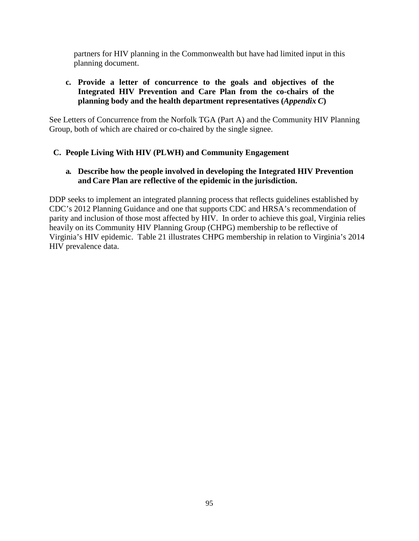partners for HIV planning in the Commonwealth but have had limited input in this planning document.

## **c. Provide a letter of concurrence to the goals and objectives of the Integrated HIV Prevention and Care Plan from the co-chairs of the planning body and the health department representatives (***Appendix C***)**

See Letters of Concurrence from the Norfolk TGA (Part A) and the Community HIV Planning Group, both of which are chaired or co-chaired by the single signee.

# **C. People Living With HIV (PLWH) and Community Engagement**

## **a. Describe how the people involved in developing the Integrated HIV Prevention and Care Plan are reflective of the epidemic in the jurisdiction.**

DDP seeks to implement an integrated planning process that reflects guidelines established by CDC's 2012 Planning Guidance and one that supports CDC and HRSA's recommendation of parity and inclusion of those most affected by HIV. In order to achieve this goal, Virginia relies heavily on its Community HIV Planning Group (CHPG) membership to be reflective of Virginia's HIV epidemic. Table 21 illustrates CHPG membership in relation to Virginia's 2014 HIV prevalence data.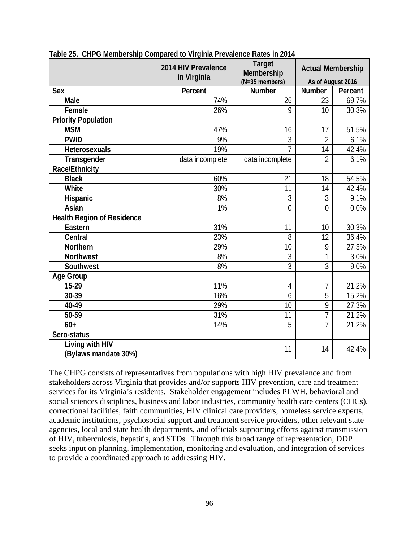|                                         | 2014 HIV Prevalence | <b>Target</b><br>Membership | <b>Actual Membership</b> |         |
|-----------------------------------------|---------------------|-----------------------------|--------------------------|---------|
|                                         | in Virginia         | $(N=35$ members)            | As of August 2016        |         |
| <b>Sex</b>                              | Percent             | <b>Number</b>               | <b>Number</b>            | Percent |
| Male                                    | 74%                 | 26                          | 23                       | 69.7%   |
| Female                                  | 26%                 | 9                           | 10                       | 30.3%   |
| <b>Priority Population</b>              |                     |                             |                          |         |
| <b>MSM</b>                              | 47%                 | 16                          | 17                       | 51.5%   |
| <b>PWID</b>                             | 9%                  | 3                           | $\overline{2}$           | 6.1%    |
| <b>Heterosexuals</b>                    | 19%                 | $\overline{7}$              | 14                       | 42.4%   |
| Transgender                             | data incomplete     | data incomplete             | $\overline{2}$           | 6.1%    |
| Race/Ethnicity                          |                     |                             |                          |         |
| <b>Black</b>                            | 60%                 | 21                          | 18                       | 54.5%   |
| White                                   | 30%                 | 11                          | 14                       | 42.4%   |
| Hispanic                                | 8%                  | 3                           | 3                        | 9.1%    |
| Asian                                   | 1%                  | $\overline{0}$              | $\overline{0}$           | 0.0%    |
| <b>Health Region of Residence</b>       |                     |                             |                          |         |
| Eastern                                 | 31%                 | 11                          | 10                       | 30.3%   |
| Central                                 | 23%                 | 8                           | 12                       | 36.4%   |
| <b>Northern</b>                         | 29%                 | 10                          | 9                        | 27.3%   |
| <b>Northwest</b>                        | 8%                  | 3                           | 1                        | 3.0%    |
| Southwest                               | 8%                  | 3                           | 3                        | 9.0%    |
| Age Group                               |                     |                             |                          |         |
| $15-29$                                 | 11%                 | $\overline{4}$              | 7                        | 21.2%   |
| 30-39                                   | 16%                 | 6                           | 5                        | 15.2%   |
| 40-49                                   | 29%                 | 10                          | 9                        | 27.3%   |
| 50-59                                   | 31%                 | 11                          | $\overline{7}$           | 21.2%   |
| $60+$                                   | 14%                 | $\overline{5}$              | $\overline{1}$           | 21.2%   |
| Sero-status                             |                     |                             |                          |         |
| Living with HIV<br>(Bylaws mandate 30%) |                     | 11                          | 14                       | 42.4%   |

**Table 25. CHPG Membership Compared to Virginia Prevalence Rates in 2014**

The CHPG consists of representatives from populations with high HIV prevalence and from stakeholders across Virginia that provides and/or supports HIV prevention, care and treatment services for its Virginia's residents. Stakeholder engagement includes PLWH, behavioral and social sciences disciplines, business and labor industries, community health care centers (CHCs), correctional facilities, faith communities, HIV clinical care providers, homeless service experts, academic institutions, psychosocial support and treatment service providers, other relevant state agencies, local and state health departments, and officials supporting efforts against transmission of HIV, tuberculosis, hepatitis, and STDs. Through this broad range of representation, DDP seeks input on planning, implementation, monitoring and evaluation, and integration of services to provide a coordinated approach to addressing HIV.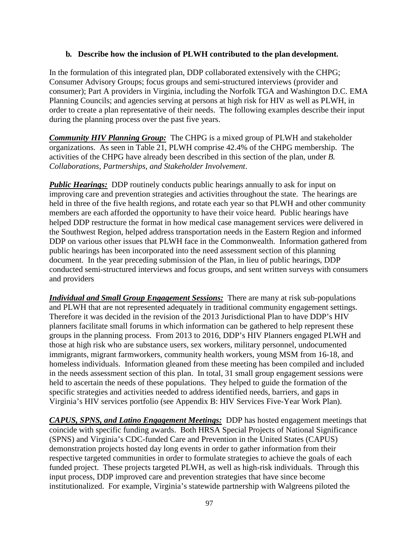### **b. Describe how the inclusion of PLWH contributed to the plan development.**

In the formulation of this integrated plan, DDP collaborated extensively with the CHPG; Consumer Advisory Groups; focus groups and semi-structured interviews (provider and consumer); Part A providers in Virginia, including the Norfolk TGA and Washington D.C. EMA Planning Councils; and agencies serving at persons at high risk for HIV as well as PLWH, in order to create a plan representative of their needs. The following examples describe their input during the planning process over the past five years.

*Community HIV Planning Group:* The CHPG is a mixed group of PLWH and stakeholder organizations. As seen in Table 21, PLWH comprise 42.4% of the CHPG membership. The activities of the CHPG have already been described in this section of the plan, under *B. Collaborations, Partnerships, and Stakeholder Involvement*.

*Public Hearings:* DDP routinely conducts public hearings annually to ask for input on improving care and prevention strategies and activities throughout the state. The hearings are held in three of the five health regions, and rotate each year so that PLWH and other community members are each afforded the opportunity to have their voice heard. Public hearings have helped DDP restructure the format in how medical case management services were delivered in the Southwest Region, helped address transportation needs in the Eastern Region and informed DDP on various other issues that PLWH face in the Commonwealth. Information gathered from public hearings has been incorporated into the need assessment section of this planning document. In the year preceding submission of the Plan, in lieu of public hearings, DDP conducted semi-structured interviews and focus groups, and sent written surveys with consumers and providers

*Individual and Small Group Engagement Sessions:* There are many at risk sub-populations and PLWH that are not represented adequately in traditional community engagement settings. Therefore it was decided in the revision of the 2013 Jurisdictional Plan to have DDP's HIV planners facilitate small forums in which information can be gathered to help represent these groups in the planning process. From 2013 to 2016, DDP's HIV Planners engaged PLWH and those at high risk who are substance users, sex workers, military personnel, undocumented immigrants, migrant farmworkers, community health workers, young MSM from 16-18, and homeless individuals. Information gleaned from these meeting has been compiled and included in the needs assessment section of this plan. In total, 31 small group engagement sessions were held to ascertain the needs of these populations. They helped to guide the formation of the specific strategies and activities needed to address identified needs, barriers, and gaps in Virginia's HIV services portfolio (see Appendix B: HIV Services Five-Year Work Plan).

*CAPUS, SPNS, and Latino Engagement Meetings:* DDP has hosted engagement meetings that coincide with specific funding awards. Both HRSA Special Projects of National Significance (SPNS) and Virginia's CDC-funded Care and Prevention in the United States (CAPUS) demonstration projects hosted day long events in order to gather information from their respective targeted communities in order to formulate strategies to achieve the goals of each funded project. These projects targeted PLWH, as well as high-risk individuals. Through this input process, DDP improved care and prevention strategies that have since become institutionalized. For example, Virginia's statewide partnership with Walgreens piloted the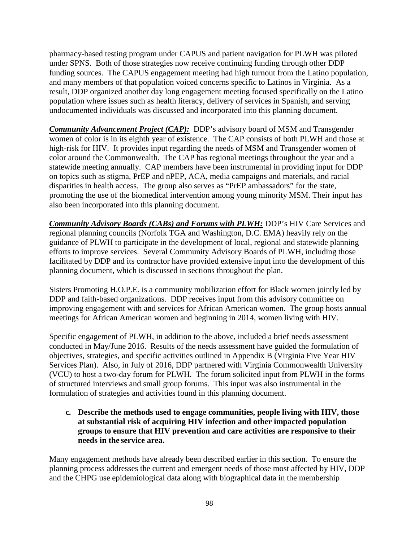pharmacy-based testing program under CAPUS and patient navigation for PLWH was piloted under SPNS. Both of those strategies now receive continuing funding through other DDP funding sources. The CAPUS engagement meeting had high turnout from the Latino population, and many members of that population voiced concerns specific to Latinos in Virginia. As a result, DDP organized another day long engagement meeting focused specifically on the Latino population where issues such as health literacy, delivery of services in Spanish, and serving undocumented individuals was discussed and incorporated into this planning document.

**Community Advancement Project (CAP):** DDP's advisory board of MSM and Transgender women of color is in its eighth year of existence. The CAP consists of both PLWH and those at high-risk for HIV. It provides input regarding the needs of MSM and Transgender women of color around the Commonwealth. The CAP has regional meetings throughout the year and a statewide meeting annually. CAP members have been instrumental in providing input for DDP on topics such as stigma, PrEP and nPEP, ACA, media campaigns and materials, and racial disparities in health access. The group also serves as "PrEP ambassadors" for the state, promoting the use of the biomedical intervention among young minority MSM. Their input has also been incorporated into this planning document.

*Community Advisory Boards (CABs) and Forums with PLWH:* DDP's HIV Care Services and regional planning councils (Norfolk TGA and Washington, D.C. EMA) heavily rely on the guidance of PLWH to participate in the development of local, regional and statewide planning efforts to improve services. Several Community Advisory Boards of PLWH, including those facilitated by DDP and its contractor have provided extensive input into the development of this planning document, which is discussed in sections throughout the plan.

Sisters Promoting H.O.P.E. is a community mobilization effort for Black women jointly led by DDP and faith-based organizations. DDP receives input from this advisory committee on improving engagement with and services for African American women. The group hosts annual meetings for African American women and beginning in 2014, women living with HIV.

Specific engagement of PLWH, in addition to the above, included a brief needs assessment conducted in May/June 2016. Results of the needs assessment have guided the formulation of objectives, strategies, and specific activities outlined in Appendix B (Virginia Five Year HIV Services Plan). Also, in July of 2016, DDP partnered with Virginia Commonwealth University (VCU) to host a two-day forum for PLWH. The forum solicited input from PLWH in the forms of structured interviews and small group forums. This input was also instrumental in the formulation of strategies and activities found in this planning document.

**c. Describe the methods used to engage communities, people living with HIV, those at substantial risk of acquiring HIV infection and other impacted population groups to ensure that HIV prevention and care activities are responsive to their needs in the service area.**

Many engagement methods have already been described earlier in this section. To ensure the planning process addresses the current and emergent needs of those most affected by HIV, DDP and the CHPG use epidemiological data along with biographical data in the membership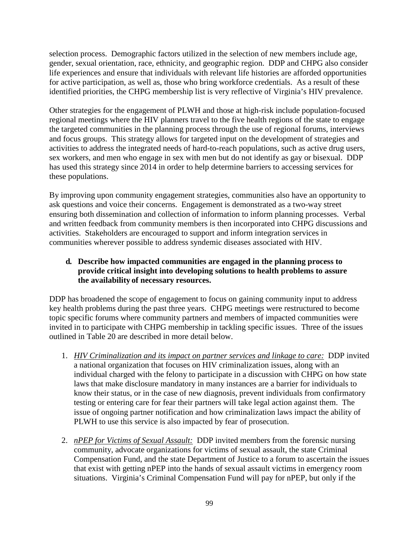selection process. Demographic factors utilized in the selection of new members include age, gender, sexual orientation, race, ethnicity, and geographic region. DDP and CHPG also consider life experiences and ensure that individuals with relevant life histories are afforded opportunities for active participation, as well as, those who bring workforce credentials. As a result of these identified priorities, the CHPG membership list is very reflective of Virginia's HIV prevalence.

Other strategies for the engagement of PLWH and those at high-risk include population-focused regional meetings where the HIV planners travel to the five health regions of the state to engage the targeted communities in the planning process through the use of regional forums, interviews and focus groups. This strategy allows for targeted input on the development of strategies and activities to address the integrated needs of hard-to-reach populations, such as active drug users, sex workers, and men who engage in sex with men but do not identify as gay or bisexual. DDP has used this strategy since 2014 in order to help determine barriers to accessing services for these populations.

By improving upon community engagement strategies, communities also have an opportunity to ask questions and voice their concerns. Engagement is demonstrated as a two-way street ensuring both dissemination and collection of information to inform planning processes. Verbal and written feedback from community members is then incorporated into CHPG discussions and activities. Stakeholders are encouraged to support and inform integration services in communities wherever possible to address syndemic diseases associated with HIV.

# **d. Describe how impacted communities are engaged in the planning process to provide critical insight into developing solutions to health problems to assure the availability of necessary resources.**

DDP has broadened the scope of engagement to focus on gaining community input to address key health problems during the past three years. CHPG meetings were restructured to become topic specific forums where community partners and members of impacted communities were invited in to participate with CHPG membership in tackling specific issues. Three of the issues outlined in Table 20 are described in more detail below.

- 1. *HIV Criminalization and its impact on partner services and linkage to care:* DDP invited a national organization that focuses on HIV criminalization issues, along with an individual charged with the felony to participate in a discussion with CHPG on how state laws that make disclosure mandatory in many instances are a barrier for individuals to know their status, or in the case of new diagnosis, prevent individuals from confirmatory testing or entering care for fear their partners will take legal action against them. The issue of ongoing partner notification and how criminalization laws impact the ability of PLWH to use this service is also impacted by fear of prosecution.
- 2. *nPEP for Victims of Sexual Assault:* DDP invited members from the forensic nursing community, advocate organizations for victims of sexual assault, the state Criminal Compensation Fund, and the state Department of Justice to a forum to ascertain the issues that exist with getting nPEP into the hands of sexual assault victims in emergency room situations. Virginia's Criminal Compensation Fund will pay for nPEP, but only if the